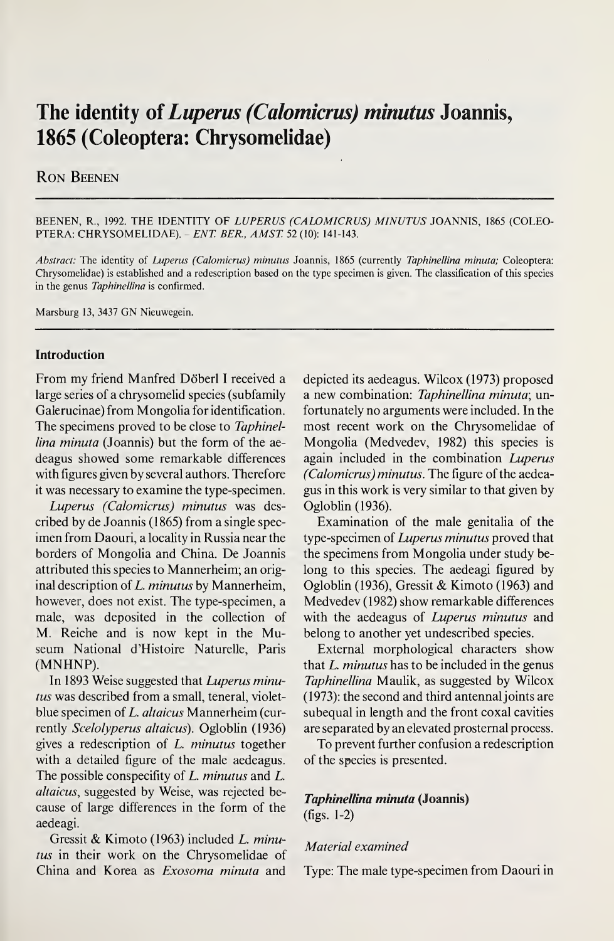# The identity of *Luperus (Calomicrus) minutus* Joannis, 1865 (Coleoptera: Chrysomelidae)

## Ron Beenen

BEENEN, R., 1992. THE IDENTITY OF LUPERUS (CALOMICRUS) MINUTUS JOANNIS, 1865 (COLEO-PTERA: CHRYSOMELIDAE). - ENT. BER., AMST. 52 (10): 141-143.

Abstract: The identity of Luperus (Calomicrus) minutus Joannis, 1865 (currently Taphinellina minuta; Coleoptera: Chrysomelidae) is established and a redescription based on the type specimen is given. The classification of this species in the genus Taphinellina is confirmed.

Marsburg 13, 3437 GN Nieuwegein.

#### Introduction

From my friend Manfred Döberl I received a large series of a chrysomelid species (subfamily Galerucinae) from Mongolia for identification. The specimens proved to be close to Taphinellina minuta (Joannis) but the form of the aedeagus showed some remarkable differences with figures given by several authors. Therefore it was necessary to examine the type-specimen.

Luperus (Calomicrus) minutus was described by de Joannis (1865) from a single specimen from Daouri, a locality in Russia near the borders of Mongolia and China. De Joannis attributed this species to Mannerheim; an original description of  $L.$  minutus by Mannerheim, however, does not exist. The type-specimen, a male, was deposited in the collection of M. Reiche and is now kept in the Museum National d'Histoire Naturelle, Paris (MNHNP).

In 1893 Weise suggested that Luperus minutus was described from a small, teneral, violetblue specimen of L. altaicus Mannerheim (currently Scelolyperus altaicus). Ogloblin (1936) gives a redescription of L. minutus together with a detailed figure of the male aedeagus. The possible conspecifity of L. minutus and L. altaicus, suggested by Weise, was rejected because of large differences in the form of the aedeagi.

Gressit & Kimoto (1963) included L. minutus in their work on the Chrysomelidae of China and Korea as Exosoma minuta and

depicted its aedeagus. Wilcox (1973) proposed a new combination: Taphinellina minuta; unfortunately no arguments were included. In the most recent work on the Chrysomelidae of Mongolia (Medvedev, 1982) this species is again included in the combination Luperus (Calomicrus) minutus. The figure of the aedeagus in this work is very similar to that given by Ogloblin (1936).

Examination of the male genitalia of the type-specimen of Luperus minutus proved that the specimens from Mongolia under study belong to this species. The aedeagi figured by Ogloblin (1936), Gressit & Kimoto (1963) and Medvedev (1982) show remarkable differences with the aedeagus of *Luperus minutus* and belong to another yet undescribed species.

External morphological characters show that  $L.$  minutus has to be included in the genus Taphinellina Maulik, as suggested by Wilcox (1973): the second and third antennaljoints are subequal in length and the front coxal cavities are separated by an elevated prosternai process.

To prevent further confusion a redescription of the species is presented.

# Taphinellina minuta (Joannis)

(figs. 1-2)

## Material examined

Type: The male type-specimen from Daouri in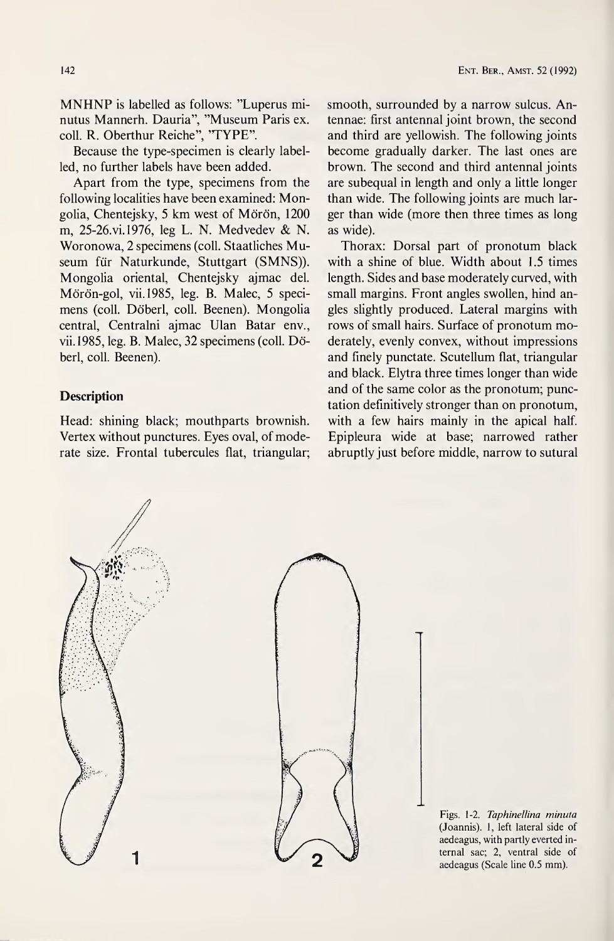MNHNP is labelled as follows: ''Luperus minutus Mannerh. Dauria", ''Museum Paris ex. coll. R. Oberthur Reiche", 'TYPE".

Because the type-specimen is clearly labelled, no further labels have been added.

Apart from the type, specimens from the following localities have been examined: Mongolia, Chentejsky, 5 km west of Mörön, 1200 m, 25-26.vi. 1976, leg L. N. Medvedev & N. Woronowa, 2 specimens (coll. Staatliches Museum für Naturkunde, Stuttgart (SMNS)). Mongolia oriental, Chentejsky ajmac del. Mörön-gol, vii.1985, leg. B. Malec, 5 specimens (coll. Döberl, coll. Beenen). Mongolia central, Centralni ajmac Ulan Batar env., vii.1985, leg. B. Malec, 32 specimens (coll. Döberl, coll. Beenen).

## **Description**

Head: shining black; mouthparts brownish. Vertex without punctures. Eyes oval, of moderate size. Frontal tubercules flat, triangular; smooth, surrounded by a narrow sulcus. Antennae: first antennal joint brown, the second and third are yellowish. The following joints become gradually darker. The last ones are brown. The second and third antennal joints are subequal in length and only a little longer than wide. The following joints are much larger than wide (more then three times as long as wide).

Thorax: Dorsal part of pronotum black with a shine of blue. Width about 1.5 times length. Sides and base moderately curved, with small margins. Front angles swollen, hind angles slightly produced. Lateral margins with rows of small hairs. Surface of pronotum moderately, evenly convex, without impressions and finely punctate. Scutellum flat, triangular and black. Elytra three times longer than wide and of the same color as the pronotum; punctation definitively stronger than on pronotum, with a few hairs mainly in the apical half. Epipleura wide at base; narrowed rather abruptly just before middle, narrow to sutural

Figs. 1-2. Taphinellina minuta (Joannis). 1, left lateral side of aedeagus, with partly everted in ternal sac; 2, ventral side of aedeagus (Scale line 0.5 mm).